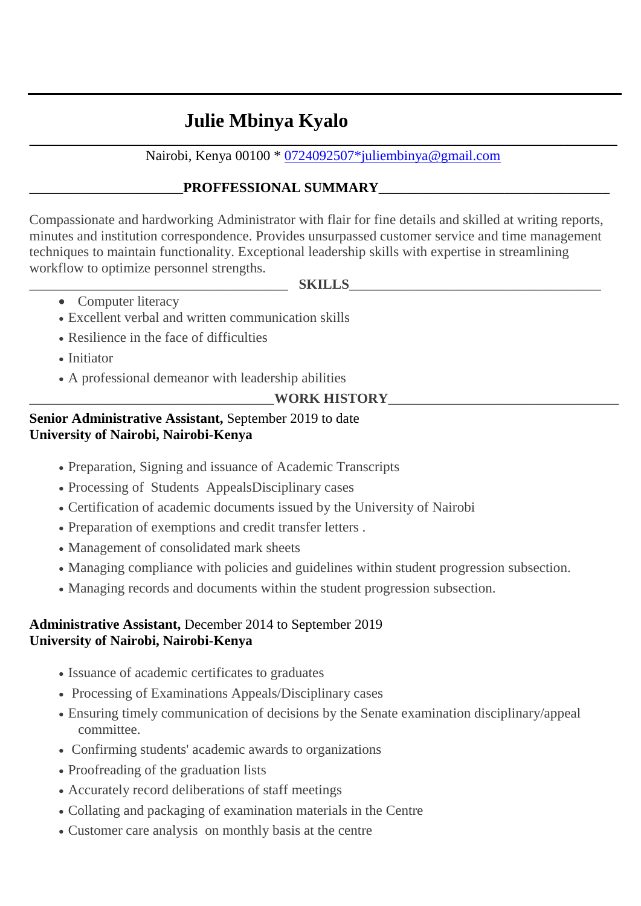# **Julie Mbinya Kyalo**

\_\_\_\_\_\_\_\_\_\_\_\_\_\_\_\_\_\_\_\_\_\_\_\_\_\_\_\_\_\_\_\_\_\_\_\_\_\_\_\_\_\_\_\_\_\_\_\_\_\_\_\_\_\_\_\_\_\_\_\_\_\_\_\_\_\_\_\_\_\_\_\_\_\_\_\_\_\_\_\_\_\_\_\_ Nairobi, Kenya 00100 \* [0724092507\\*juliembinya@gmail.com](mailto:0724092507*juliembinya@gmail.com)

## PROFFESSIONAL SUMMARY

Compassionate and hardworking Administrator with flair for fine details and skilled at writing reports, minutes and institution correspondence. Provides unsurpassed customer service and time management techniques to maintain functionality. Exceptional leadership skills with expertise in streamlining workflow to optimize personnel strengths.

- \_\_\_\_\_\_\_\_\_\_\_\_\_\_\_\_\_\_\_\_\_\_\_\_\_\_\_\_\_\_\_\_\_\_\_\_\_ **SKILLS**\_\_\_\_\_\_\_\_\_\_\_\_\_\_\_\_\_\_\_\_\_\_\_\_\_\_\_\_\_\_\_\_\_\_\_\_
	- Computer literacy
	- Excellent verbal and written communication skills
	- Resilience in the face of difficulties
	- Initiator
	- A professional demeanor with leadership abilities

WORK HISTORY

## **Senior Administrative Assistant,** September 2019 to date **University of Nairobi, Nairobi-Kenya**

- Preparation, Signing and issuance of Academic Transcripts
- Processing of Students AppealsDisciplinary cases
- Certification of academic documents issued by the University of Nairobi
- Preparation of exemptions and credit transfer letters .
- Management of consolidated mark sheets
- Managing compliance with policies and guidelines within student progression subsection.
- Managing records and documents within the student progression subsection.

#### **Administrative Assistant,** December 2014 to September 2019 **University of Nairobi, Nairobi-Kenya**

- Issuance of academic certificates to graduates
- Processing of Examinations Appeals/Disciplinary cases
- Ensuring timely communication of decisions by the Senate examination disciplinary/appeal committee.
- Confirming students' academic awards to organizations
- Proofreading of the graduation lists
- Accurately record deliberations of staff meetings
- Collating and packaging of examination materials in the Centre
- Customer care analysis on monthly basis at the centre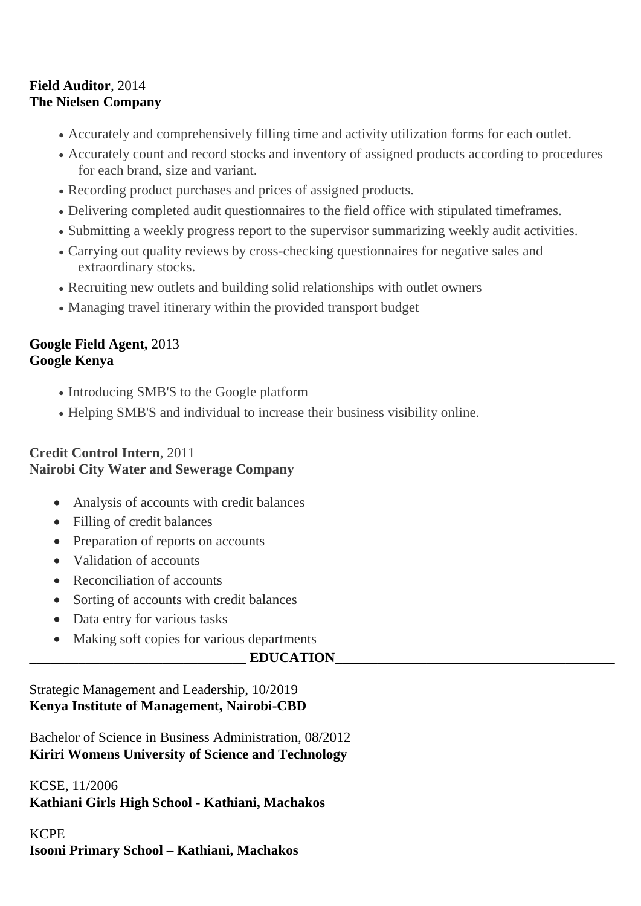### **Field Auditor**, 2014 **The Nielsen Company**

- Accurately and comprehensively filling time and activity utilization forms for each outlet.
- Accurately count and record stocks and inventory of assigned products according to procedures for each brand, size and variant.
- Recording product purchases and prices of assigned products.
- Delivering completed audit questionnaires to the field office with stipulated timeframes.
- Submitting a weekly progress report to the supervisor summarizing weekly audit activities.
- Carrying out quality reviews by cross-checking questionnaires for negative sales and extraordinary stocks.
- Recruiting new outlets and building solid relationships with outlet owners
- Managing travel itinerary within the provided transport budget

### **Google Field Agent,** 2013 **Google Kenya**

- Introducing SMB'S to the Google platform
- Helping SMB'S and individual to increase their business visibility online.

### **Credit Control Intern**, 2011 **Nairobi City Water and Sewerage Company**

- Analysis of accounts with credit balances
- Filling of credit balances
- Preparation of reports on accounts
- Validation of accounts
- Reconciliation of accounts
- Sorting of accounts with credit balances
- Data entry for various tasks
- Making soft copies for various departments

### **\_\_\_\_\_\_\_\_\_\_\_\_\_\_\_\_\_\_\_\_\_\_\_\_\_\_\_\_\_\_\_ EDUCATION\_\_\_\_\_\_\_\_\_\_\_\_\_\_\_\_\_\_\_\_\_\_\_\_\_\_\_\_\_\_\_\_\_\_\_\_\_\_\_\_**

### Strategic Management and Leadership, 10/2019 **Kenya Institute of Management, Nairobi-CBD**

Bachelor of Science in Business Administration, 08/2012 **Kiriri Womens University of Science and Technology**

KCSE, 11/2006 **Kathiani Girls High School - Kathiani, Machakos**

## KCPE **Isooni Primary School – Kathiani, Machakos**